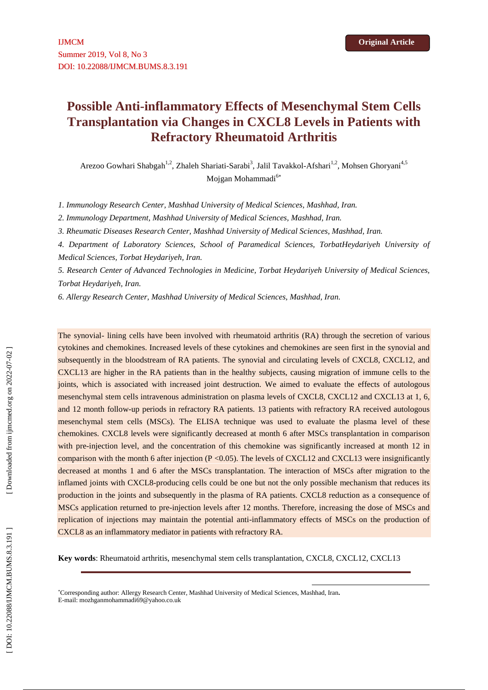# **Possible Anti-inflammatory Effects of Mesenchymal Stem Cells Transplantation via Changes in CXCL8 Levels in Patients with Refractory Rheumatoid Arthritis**

Arezoo Gowhari Shabgah<sup>1,2</sup>, Zhaleh Shariati-Sarabi<sup>3</sup>, Jalil Tavakkol-Afshari<sup>1,2</sup>, Mohsen Ghoryani<sup>4,5</sup> Mojgan Mohammadi<sup>6\*</sup>

*1. Immunology Research Center, Mashhad University of Medical Sciences, Mashhad, Iran.*

*2. Immunology Department, Mashhad University of Medical Sciences, Mashhad, Iran.*

*3. Rheumatic Diseases Research Center, Mashhad University of Medical Sciences, Mashhad, Iran.*

*4. Department of Laboratory Sciences, School of Paramedical Sciences, TorbatHeydariyeh University of Medical Sciences, Torbat Heydariyeh, Iran.*

*5. Research Center of Advanced Technologies in Medicine, Torbat Heydariyeh University of Medical Sciences, Torbat Heydariyeh, Iran.*

*6. Allergy Research Center, Mashhad University of Medical Sciences, Mashhad, Iran.*

The synovial- lining cells have been involved with rheumatoid arthritis (RA) through the secretion of various cytokines and chemokines. Increased levels of these cytokines and chemokines are seen first in the synovial and subsequently in the bloodstream of RA patients. The synovial and circulating levels of CXCL8, CXCL12, and CXCL13 are higher in the RA patients than in the healthy subjects, causing migration of immune cells to the joints, which is associated with increased joint destruction. We aimed to evaluate the effects of autologous mesenchymal stem cells intravenous administration on plasma levels of CXCL8, CXCL12 and CXCL13 at 1, 6, and 12 month follow-up periods in refractory RA patients. 13 patients with refractory RA received autologous mesenchymal stem cells (MSCs). The ELISA technique was used to evaluate the plasma level of these chemokines. CXCL8 levels were significantly decreased at month 6 after MSCs transplantation in comparison with pre-injection level, and the concentration of this chemokine was significantly increased at month 12 in comparison with the month 6 after injection  $(P < 0.05)$ . The levels of CXCL12 and CXCL13 were insignificantly decreased at months 1 and 6 after the MSCs transplantation. The interaction of MSCs after migration to the inflamed joints with CXCL8-producing cells could be one but not the only possible mechanism that reduces its production in the joints and subsequently in the plasma of RA patients. CXCL8 reduction as a consequence of MSCs application returned to pre-injection levels after 12 months. Therefore, increasing the dose of MSCs and replication of injections may maintain the potential anti-inflammatory effects of MSCs on the production of CXCL8 as an inflammatory mediator in patients with refractory RA.

**Key words**: Rheumatoid arthritis, mesenchymal stem cells transplantation, CXCL8, CXCL12, CXCL13

Corresponding author: Allergy Research Center, Mashhad University of Medical Sciences, Mashhad, Iran**.** E-mail: mozhganmohammadi69@yahoo.co.uk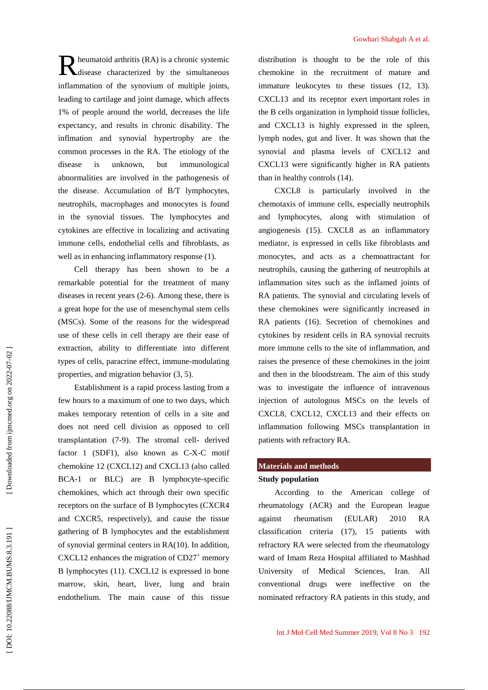1% of people around the world, decreases the life expectancy, and results in chronic disability. The inflmation and synovial hypertrophy are the common processes in the RA. The etiology of the disease is unknown, but immunological abnormalities are involved in the pathogenesis of the disease. Accumulation of B/T lymphocytes, neutrophils, macrophages and monocytes is found in the synovial tissues. The lymphocytes and cytokines are effective in localizing and activating immune cells, endothelial cells and fibroblasts, as well as in enhancing inflammatory response (1). Cell therapy has been shown to be a

remarkable potential for the treatment of many diseases in recent years (2-6). Among these, there is a great hope for the use of mesenchymal stem cells (MSCs). Some of the reasons for the widespread use of these cells in cell therapy are their ease of extraction, ability to differentiate into different types of cells, paracrine effect, immune-modulating properties, and migration behavior (3, 5). Establishment is a rapid process lasting from a few hours to a maximum of one to two days, which makes temporary retention of cells in a site and

heumatoid arthritis (RA) is a chronic systemic disease characterized by the simultaneous inflammation of the synovium of multiple joints, leading to cartilage and joint damage, which affects

does not need cell division as opposed to cell transplantation (7-9). The stromal cell- derived factor 1 (SDF1), also known as C-X-C motif chemokine 12 (CXCL12) and CXCL13 (also called BCA-1 or BLC) are B lymphocyte-specific chemokines, which act through their own specific receptors on the surface of B lymphocytes (CXCR4 and CXCR5, respectively), and cause the tissue gathering of B lymphocytes and the establishment of synovial germinal centers in RA(10). In addition, CXCL12 enhances the migration of  $CD27<sup>+</sup>$  memory B lymphocytes (11). CXCL12 is expressed in bone marrow, skin, heart, liver, lung and brain endothelium. The main cause of this tissue

distribution is thought to be the role of this chemokine in the recruitment of mature and immature leukocytes to these tissues (12, 13). CXCL13 and its receptor exert important roles in the B cells organization in lymphoid tissue follicles, and CXCL13 is highly expressed in the spleen, lymph nodes, gut and liver. It was shown that the synovial and plasma levels of CXCL12 and CXCL13 were significantly higher in RA patients than in healthy controls (14).

CXCL8 is particularly involved in the chemotaxis of immune cells, especially neutrophils and lymphocytes, along with stimulation of angiogenesis (15). CXCL8 as an inflammatory mediator, is expressed in cells like fibroblasts and monocytes, and acts as a chemoattractant for neutrophils, causing the gathering of neutrophils at inflammation sites such as the inflamed joints of RA patients. The synovial and circulating levels of these chemokines were significantly increased in RA patients (16). Secretion of chemokines and cytokines by resident cells in RA synovial recruits more immune cells to the site of inflammation, and raises the presence of these chemokines in the joint and then in the bloodstream. The aim of this study was to investigate the influence of intravenous injection of autologous MSCs on the levels of CXCL8, CXCL12, CXCL13 and their effects on inflammation following MSCs transplantation in patients with refractory RA. **Nominated refracts in the study, and the study of the study is the the study of the study is the study of the study in the study is the study of the study of the study of the study of the study of the study of the study** 

# **Materials and methods**

# **Study population**

According to the American college of rheumatology (ACR) and the European league against rheumatism (EULAR) 2010 RA classification criteria (17), 15 patients with refractory RA were selected from the rheumatology ward of Imam Reza Hospital affiliated to Mashhad University of Medical Sciences, Iran. All conventional drugs were ineffective on the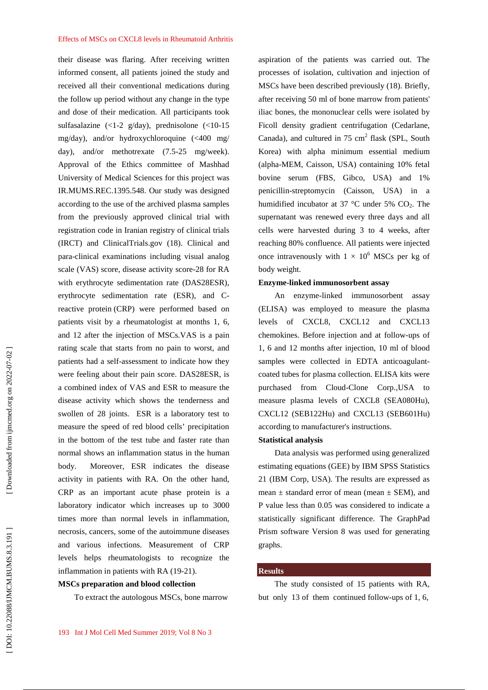#### Effects of MSCs on CXCL8 levels in Rheumatoid Arthritis

their disease was flaring. After receiving written informed consent, all patients joined the study and received all their conventional medications during the follow up period without any change in the type and dose of their medication. All participants took sulfasalazine (<1-2 g/day), prednisolone (<10-15 mg/day), and/or hydroxychloroquine (<400 mg/ day), and/or methotrexate (7.5-25 mg/week). Approval of the Ethics committee of Mashhad University of Medical Sciences for this project was IR.MUMS.REC.1395.548. Our study was designed according to the use of the archived plasma samples from the previously approved clinical trial with registration code in Iranian registry of clinical trials (IRCT) and ClinicalTrials.gov (18). Clinical and para-clinical examinations including visual analog scale (VAS) score, disease activity score-28 for RA with erythrocyte sedimentation rate (DAS28ESR), erythrocyte sedimentation rate (ESR), and Creactive protein (CRP) were performed based on patients visit by a rheumatologist at months 1, 6, and 12 after the injection of MSCs.VAS is a pain rating scale that starts from no pain to worst, and patients had a self-assessment to indicate how they were feeling about their pain score. DAS28ESR, is a combined index of VAS and ESR to measure the disease activity which shows the tenderness and swollen of 28 joints. ESR is a laboratory test to measure the speed of red blood cells' precipitation in the bottom of the test tube and faster rate than normal shows an inflammation status in the human body. Moreover, ESR indicates the disease activity in patients with RA. On the other hand, CRP as an important acute phase protein is a laboratory indicator which increases up to 3000 times more than normal levels in inflammation, necrosis, cancers, some of the autoimmune diseases and various infections. Measurement of CRP levels helps rheumatologists to recognize the inflammation in patients with RA (19-21).

# **MSCs preparation and blood collection**

To extract the autologous MSCs, bone marrow

aspiration of the patients was carried out. The processes of isolation, cultivation and injection of MSCs have been described previously (18). Briefly, after receiving 50 ml of bone marrow from patients' iliac bones, the mononuclear cells were isolated by Ficoll density gradient centrifugation (Cedarlane, Canada), and cultured in  $75 \text{ cm}^2$  flask (SPL, South Korea) with alpha minimum essential medium (alpha-MEM, Caisson, USA) containing 10% fetal bovine serum (FBS, Gibco, USA) and 1% penicillin-streptomycin (Caisson, USA) in a humidified incubator at 37 °C under 5%  $CO<sub>2</sub>$ . The supernatant was renewed every three days and all cells were harvested during 3 to 4 weeks, after reaching 80% confluence. All patients were injected once intravenously with  $1 \times 10^6$  MSCs per kg of body weight.

#### **Enzyme-linked immunosorbent assay**

An enzyme-linked immunosorbent assay (ELISA) was employed to measure the plasma levels of CXCL8, CXCL12 and CXCL13 chemokines. Before injection and at follow-ups of 1, 6 and 12 months after injection, 10 ml of blood samples were collected in EDTA anticoagulant coated tubes for plasma collection. ELISA kits were purchased from Cloud-Clone Corp.,USA to measure plasma levels of CXCL8 (SEA080Hu), CXCL12 (SEB122Hu) and CXCL13 (SEB601Hu) according to manufacturer's instructions.

## **Statistical analysis**

Data analysis was performed using generalized estimating equations (GEE) by IBM SPSS Statistics 21 (IBM Corp, USA). The results are expressed as mean  $\pm$  standard error of mean (mean  $\pm$  SEM), and P value less than 0.05 was considered to indicate a statistically significant difference. The GraphPad Prism software Version 8 was used for generating graphs.

### **Results**

The study consisted of 15 patients with RA, but only 13 of them continued follow-ups of 1, 6,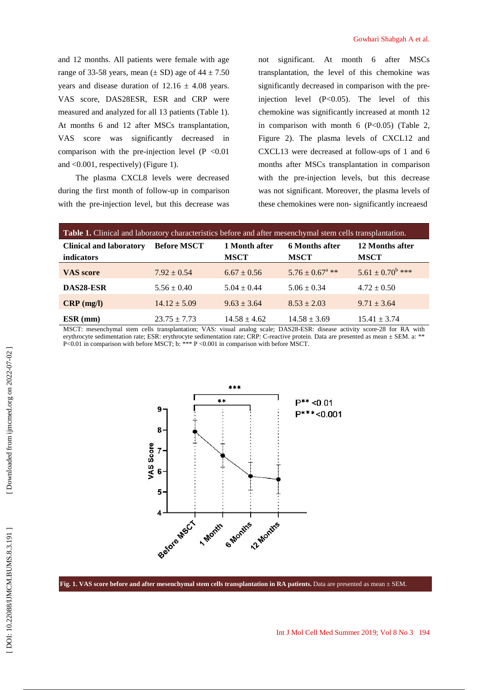and 12 months. All patients were female with age range of 33-58 years, mean  $(\pm SD)$  age of 44  $\pm 7.50$ years and disease duration of  $12.16 \pm 4.08$  years. VAS score, DAS28ESR, ESR and CRP were measured and analyzed for all 13 patients (Table 1). At months 6 and 12 after MSCs transplantation, VAS score was significantly decreased in comparison with the pre-injection level  $(P \le 0.01$ and <0.001, respectively) (Figure 1).

The plasma CXCL8 levels were decreased during the first month of follow-up in comparison with the pre-injection level, but this decrease was

not significant. At month 6 after MSCs transplantation, the level of this chemokine was significantly decreased in comparison with the preinjection level (P<0.05). The level of this chemokine was significantly increased at month 12 in comparison with month  $6$  (P<0.05) (Table 2, Figure 2). The plasma levels of CXCL12 and CXCL13 were decreased at follow-ups of 1 and 6 months after MSCs transplantation in comparison with the pre-injection levels, but this decrease was not significant. Moreover, the plasma levels of these chemokines were non- significantly increaesd

| Table 1. Clinical and laboratory characteristics before and after mesenchymal stem cells transplantation. |                                                                                                                                                                                                                                                          |                              |                                                 |                                                                                        |  |  |
|-----------------------------------------------------------------------------------------------------------|----------------------------------------------------------------------------------------------------------------------------------------------------------------------------------------------------------------------------------------------------------|------------------------------|-------------------------------------------------|----------------------------------------------------------------------------------------|--|--|
| <b>Clinical and laboratory</b><br><i>indicators</i>                                                       | <b>Before MSCT</b>                                                                                                                                                                                                                                       | 1 Month after<br><b>MSCT</b> | <b>6 Months after</b><br><b>MSCT</b>            | 12 Months after<br><b>MSCT</b>                                                         |  |  |
| <b>VAS</b> score                                                                                          | $7.92 \pm 0.54$                                                                                                                                                                                                                                          | $6.67 \pm 0.56$              | $5.76 \pm 0.67^{\text{a}}$ **                   | $5.61 \pm 0.70^b$ ***                                                                  |  |  |
| DAS28-ESR                                                                                                 | $5.56 \pm 0.40$                                                                                                                                                                                                                                          | $5.04 \pm 0.44$              | $5.06 \pm 0.34$                                 | $4.72 \pm 0.50$                                                                        |  |  |
| $CRP$ (mg/l)                                                                                              | $14.12 \pm 5.09$                                                                                                                                                                                                                                         | $9.63 \pm 3.64$              | $8.53 \pm 2.03$                                 | $9.71 \pm 3.64$                                                                        |  |  |
| $ESR$ (mm)<br>$1.50 \, \text{cm}$<br>$\mathbf{1}$ $\mathbf{1}$ $\mathbf{1}$                               | $23.75 \pm 7.73$<br>$\mathbf{H}$ and $\mathbf{H}$ are the state of the state of the state of the state of the state of the state of the state of the state of the state of the state of the state of the state of the state of the state of the state of | $14.58 \pm 4.62$             | $14.58 \pm 3.69$<br>$D$ $(0.00 \text{ mm} + 1)$ | $15.41 \pm 3.74$<br>$\cdot$ . $\cdot$<br>the state of the state of the state of<br>20f |  |  |

MSCT: mesenchymal stem cells transplantation; VAS: visual analog scale; DAS28-ESR: disease activity score-28 for RA with erythrocyte sedimentation rate; ESR: erythrocyte sedimentation rate; CRP: C-reactive protein. Data are presented as mean ± SEM. a: \*\* P<0.01 in comparison with before MSCT; b: \*\*\* P <0.001 in comparison with before MSCT.



**Fig. 1. VAS score before and after mesenchymal stem cells transplantation in RA patients.** Data are presented as mean ± SEM.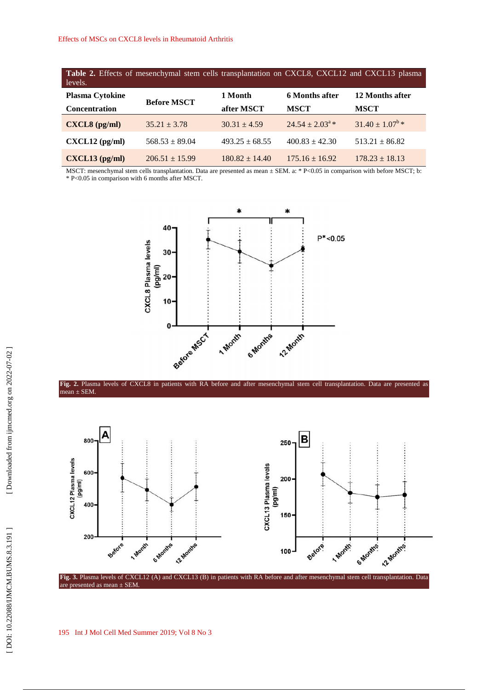**Table 2.** Effects of mesenchymal stem cells transplantation on CXCL8, CXCL12 and CXCL13 plasma levels.

| <b>Plasma Cytokine</b>                   | <b>Before MSCT</b> | 1 Month            | 6 Months after           | 12 Months after          |
|------------------------------------------|--------------------|--------------------|--------------------------|--------------------------|
| <b>Concentration</b>                     |                    | after MSCT         | <b>MSCT</b>              | <b>MSCT</b>              |
| $\text{CXCL8}$ (pg/ml)                   | $35.21 \pm 3.78$   | $30.31 \pm 4.59$   | $24.54 \pm 2.03^{\circ}$ | $31.40 \pm 1.07^{\circ}$ |
| $\text{CXCL12}\left(\text{pg/ml}\right)$ | $568.53 \pm 89.04$ | $493.25 + 68.55$   | $400.83 + 42.30$         | $513.21 \pm 86.82$       |
| $CXCL13$ (pg/ml)                         | $206.51 + 15.99$   | $180.82 \pm 14.40$ | $175.16 \pm 16.92$       | $178.23 \pm 18.13$       |

MSCT: mesenchymal stem cells transplantation. Data are presented as mean ± SEM. a: \* P<0.05 in comparison with before MSCT; b: \* P<0.05 in comparison with 6 months after MSCT.





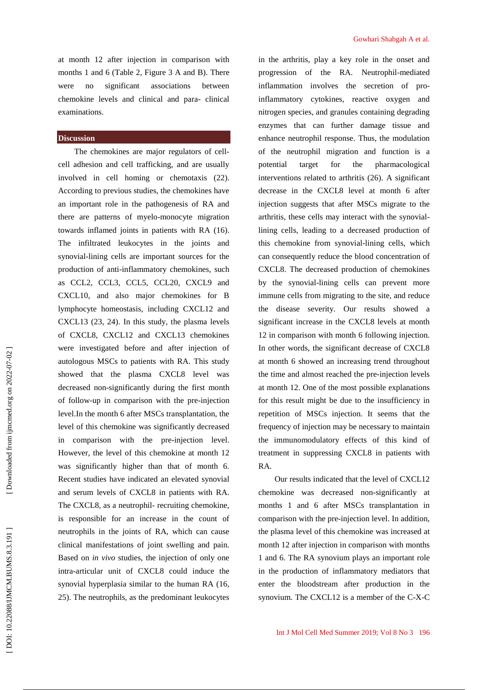at month 12 after injection in comparison with months 1 and 6 (Table 2, Figure 3 A and B). There were no significant associations between chemokine levels and clinical and para- clinical examinations.

# **Discussion**

The chemokines are major regulators of cell cell adhesion and cell trafficking, and are usually involved in cell homing or chemotaxis (22). According to previous studies, the chemokines have an important role in the pathogenesis of RA and there are patterns of myelo-monocyte migration towards inflamed joints in patients with RA (16). The infiltrated leukocytes in the joints and synovial-lining cells are important sources for the production of anti-inflammatory chemokines, such as CCL2, CCL3, CCL5, CCL20, CXCL9 and CXCL10, and also major chemokines for B lymphocyte homeostasis, including CXCL12 and CXCL13 (23, 24). In this study, the plasma levels of CXCL8, CXCL12 and CXCL13 chemokines were investigated before and after injection of autologous MSCs to patients with RA. This study showed that the plasma CXCL8 level was decreased non-significantly during the first month of follow-up in comparison with the pre-injection level.In the month 6 after MSCs transplantation, the level of this chemokine was significantly decreased in comparison with the pre-injection level. However, the level of this chemokine at month 12 was significantly higher than that of month 6. Recent studies have indicated an elevated synovial and serum levels of CXCL8 in patients with RA. The CXCL8, as a neutrophil- recruiting chemokine, is responsible for an increase in the count of neutrophils in the joints of RA, which can cause clinical manifestations of joint swelling and pain. Based on *in vivo* studies, the injection of only one intra-articular unit of CXCL8 could induce the synovial hyperplasia similar to the human RA (16, 25). The neutrophils, as the predominant leukocytes syncovies a member of CXCL12 is a member of the C-X-C in the C-X-C and the C-X-C (B in the C-C COC12 is a member of the C-C COC12 is a member of the C-C COC12 is a member of the C-X-C and interest on insignificantly durin

in the arthritis, play a key role in the onset and progression of the RA. Neutrophil-mediated inflammation involves the secretion of proinflammatory cytokines, reactive oxygen and nitrogen species, and granules containing degrading enzymes that can further damage tissue and enhance neutrophil response. Thus, the modulation of the neutrophil migration and function is a target for the pharmacological interventions related to arthritis (26). A significant decrease in the CXCL8 level at month 6 after injection suggests that after MSCs migrate to the arthritis, these cells may interact with the synoviallining cells, leading to a decreased production of this chemokine from synovial-lining cells, which can consequently reduce the blood concentration of CXCL8. The decreased production of chemokines by the synovial-lining cells can prevent more immune cells from migrating to the site, and reduce the disease severity. Our results showed a significant increase in the CXCL8 levels at month 12 in comparison with month 6 following injection. In other words, the significant decrease of CXCL8 at month 6 showed an increasing trend throughout the time and almost reached the pre-injection levels at month 12. One of the most possible explanations for this result might be due to the insufficiency in repetition of MSCs injection. It seems that the frequency of injection may be necessary to maintain the immunomodulatory effects of this kind of treatment in suppressing CXCL8 in patients with RA.

Our results indicated that the level of CXCL12 chemokine was decreased non-significantly at months 1 and 6 after MSCs transplantation in comparison with the pre-injection level. In addition, the plasma level of this chemokine was increased at month 12 after injection in comparison with months 1 and 6. The RA synovium plays an important role in the production of inflammatory mediators that enter the bloodstream after production in the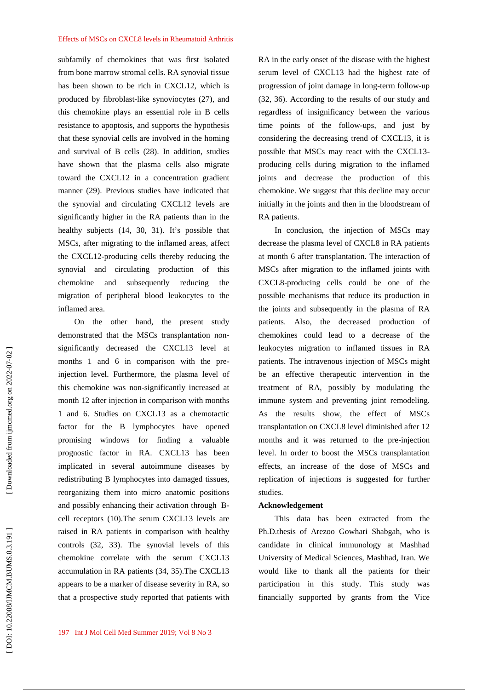subfamily of chemokines that was first isolated from bone marrow stromal cells. RA synovial tissue has been shown to be rich in CXCL12, which is produced by fibroblast-like synoviocytes (27), and this chemokine plays an essential role in B cells resistance to apoptosis, and supports the hypothesis that these synovial cells are involved in the homing and survival of B cells (28). In addition, studies have shown that the plasma cells also migrate toward the CXCL12 in a concentration gradient manner (29). Previous studies have indicated that the synovial and circulating CXCL12 levels are significantly higher in the RA patients than in the healthy subjects (14, 30, 31). It's possible that MSCs, after migrating to the inflamed areas, affect the CXCL12-producing cells thereby reducing the synovial and circulating production of this chemokine and subsequently reducing the migration of peripheral blood leukocytes to the inflamed area.

On the other hand, the present study demonstrated that the MSCs transplantation non significantly decreased the CXCL13 level at months 1 and 6 in comparison with the preinjection level. Furthermore, the plasma level of this chemokine was non-significantly increased at month 12 after injection in comparison with months 1 and 6. Studies on CXCL13 as a chemotactic factor for the B lymphocytes have opened promising windows for finding a valuable prognostic factor in RA. CXCL13 has been implicated in several autoimmune diseases by redistributing B lymphocytes into damaged tissues, reorganizing them into micro anatomic positions and possibly enhancing their activation through B cell receptors (10).The serum CXCL13 levels are raised in RA patients in comparison with healthy controls (32, 33). The synovial levels of this chemokine correlate with the serum CXCL13 accumulation in RA patients (34, 35).The CXCL13 appears to be a marker of disease severity in RA, so that a prospective study reported that patients with

RA in the early onset of the disease with the highest serum level of CXCL13 had the highest rate of progression of joint damage in long-term follow-up (32, 36). According to the results of our study and regardless of insignificancy between the various time points of the follow-ups, and just by considering the decreasing trend of CXCL13, it is possible that MSCs may react with the CXCL13 producing cells during migration to the inflamed joints and decrease the production of this chemokine. We suggest that this decline may occur initially in the joints and then in the bloodstream of RA patients.

In conclusion, the injection of MSCs may decrease the plasma level of CXCL8 in RA patients at month 6 after transplantation. The interaction of MSCs after migration to the inflamed joints with CXCL8-producing cells could be one of the possible mechanisms that reduce its production in the joints and subsequently in the plasma of RA patients. Also, the decreased production of chemokines could lead to a decrease of the leukocytes migration to inflamed tissues in RA patients. The intravenous injection of MSCs might be an effective therapeutic intervention in the treatment of RA, possibly by modulating the immune system and preventing joint remodeling. As the results show, the effect of MSCs transplantation on CXCL8 level diminished after 12 months and it was returned to the pre-injection level. In order to boost the MSCs transplantation effects, an increase of the dose of MSCs and replication of injections is suggested for further studies.

#### **Acknowledgement**

This data has been extracted from the Ph.D.thesis of Arezoo Gowhari Shabgah, who is candidate in clinical immunology at Mashhad University of Medical Sciences, Mashhad, Iran. We would like to thank all the patients for their participation in this study. This study was financially supported by grants from the Vice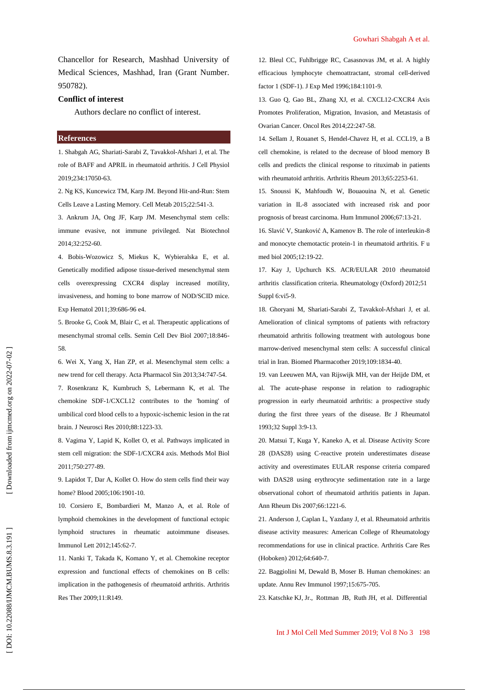Chancellor for Research, Mashhad University of Medical Sciences, Mashhad, Iran (Grant Number. 950782).

#### **Conflict of interest**

Authors declare no conflict of interest.

# **References**

1. Shabgah AG, Shariati-Sarabi Z, Tavakkol-Afshari J, et al. The role of BAFF and APRIL in rheumatoid arthritis. J Cell Physiol 2019;234:17050-63.

2. Ng KS, Kuncewicz TM, Karp JM. Beyond Hit-and-Run: Stem Cells Leave a Lasting Memory. Cell Metab 2015;22:541-3.

3. Ankrum JA, Ong JF, Karp JM. Mesenchymal stem cells: immune evasive, not immune privileged. Nat Biotechnol 2014;32:252-60.

4. Bobis-Wozowicz S, Miekus K, Wybieralska E, et al. Genetically modified adipose tissue-derived mesenchymal stem cells overexpressing CXCR4 display increased motility, invasiveness, and homing to bone marrow of NOD/SCID mice. Exp Hematol 2011;39:686-96 e4.

5. Brooke G, Cook M, Blair C, et al. Therapeutic applications of mesenchymal stromal cells. Semin Cell Dev Biol 2007;18:846- 58.

6. Wei X, Yang X, Han ZP, et al. Mesenchymal stem cells: a new trend for cell therapy. Acta Pharmacol Sin 2013;34:747-54. 7. Rosenkranz K, Kumbruch S, Lebermann K, et al. The chemokine SDF-1/CXCL12 contributes to the 'homing' of umbilical cord blood cells to a hypoxic-ischemic lesion in the rat brain. J Neurosci Res 2010;88:1223-33.

8. Vagima Y, Lapid K, Kollet O, et al. Pathways implicated in stem cell migration: the SDF-1/CXCR4 axis. Methods Mol Biol 2011;750:277-89.

9. Lapidot T, Dar A, Kollet O. How do stem cells find their way home? Blood 2005;106:1901-10.

10. Corsiero E, Bombardieri M, Manzo A, et al. Role of lymphoid chemokines in the development of functional ectopic lymphoid structures in rheumatic autoimmune diseases. Immunol Lett 2012;145:62-7.

11. Nanki T, Takada K, Komano Y, et al. Chemokine receptor expression and functional effects of chemokines on B cells: implication in the pathogenesis of rheumatoid arthritis. Arthritis Res Ther 2009;11:R149.

12. Bleul CC, Fuhlbrigge RC, Casasnovas JM, et al. A highly efficacious lymphocyte chemoattractant, stromal cell-derived factor 1 (SDF-1). J Exp Med 1996;184:1101-9.

13. Guo Q, Gao BL, Zhang XJ, et al. CXCL12-CXCR4 Axis Promotes Proliferation, Migration, Invasion, and Metastasis of Ovarian Cancer. Oncol Res 2014;22:247-58.

14. Sellam J, Rouanet S, Hendel-Chavez H, et al. CCL19, a B cell chemokine, is related to the decrease of blood memory B cells and predicts the clinical response to rituximab in patients with rheumatoid arthritis. Arthritis Rheum 2013;65:2253-61.

15. Snoussi K, Mahfoudh W, Bouaouina N, et al. Genetic variation in IL-8 associated with increased risk and poor prognosis of breast carcinoma. Hum Immunol 2006;67:13-21.

16. Slavi V, Stankovi A, Kamenov B. The role of interleukin-8 and monocyte chemotactic protein-1 in rheumatoid arthritis. F u med biol 2005;12:19-22.

17. Kay J, Upchurch KS. ACR/EULAR 2010 rheumatoid arthritis classification criteria. Rheumatology (Oxford) 2012;51 Suppl 6:vi5-9.

18. Ghoryani M, Shariati-Sarabi Z, Tavakkol-Afshari J, et al. Amelioration of clinical symptoms of patients with refractory rheumatoid arthritis following treatment with autologous bone marrow-derived mesenchymal stem cells: A successful clinical trial in Iran. Biomed Pharmacother 2019;109:1834-40.

19. van Leeuwen MA, van Rijswijk MH, van der Heijde DM, et al. The acute-phase response in relation to radiographic progression in early rheumatoid arthritis: a prospective study during the first three years of the disease. Br J Rheumatol 1993;32 Suppl 3:9-13.

20. Matsui T, Kuga Y, Kaneko A, et al. Disease Activity Score 28 (DAS28) using C-reactive protein underestimates disease activity and overestimates EULAR response criteria compared with DAS28 using erythrocyte sedimentation rate in a large observational cohort of rheumatoid arthritis patients in Japan. Ann Rheum Dis 2007;66:1221-6.

21. Anderson J, Caplan L, Yazdany J, et al. Rheumatoid arthritis disease activity measures: American College of Rheumatology recommendations for use in clinical practice. Arthritis Care Res (Hoboken) 2012;64:640-7.

22. Baggiolini M, Dewald B, Moser B. Human chemokines: an update. Annu Rev Immunol 1997;15:675-705.

23. Katschke KJ, Jr., Rottman JB, Ruth JH, et al. Differential